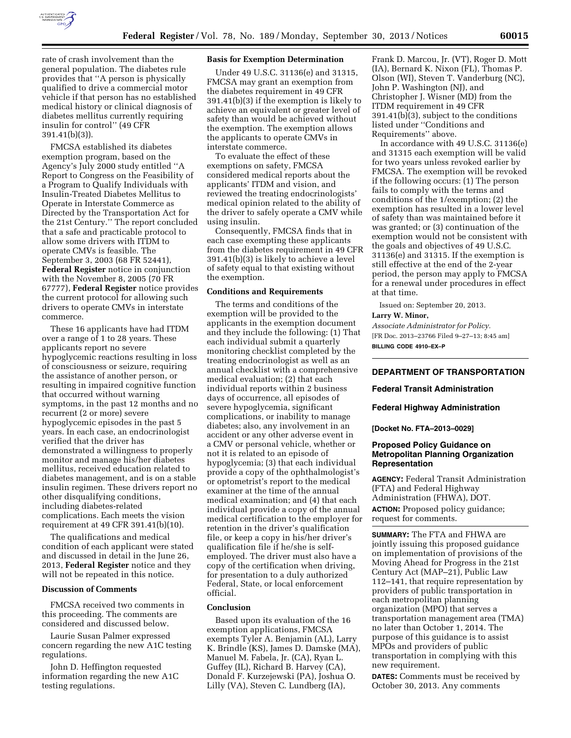

rate of crash involvement than the general population. The diabetes rule provides that ''A person is physically qualified to drive a commercial motor vehicle if that person has no established medical history or clinical diagnosis of diabetes mellitus currently requiring insulin for control'' (49 CFR 391.41(b)(3)).

FMCSA established its diabetes exemption program, based on the Agency's July 2000 study entitled ''A Report to Congress on the Feasibility of a Program to Qualify Individuals with Insulin-Treated Diabetes Mellitus to Operate in Interstate Commerce as Directed by the Transportation Act for the 21st Century.'' The report concluded that a safe and practicable protocol to allow some drivers with ITDM to operate CMVs is feasible. The September 3, 2003 (68 FR 52441), **Federal Register** notice in conjunction with the November 8, 2005 (70 FR 67777), **Federal Register** notice provides the current protocol for allowing such drivers to operate CMVs in interstate commerce.

These 16 applicants have had ITDM over a range of 1 to 28 years. These applicants report no severe hypoglycemic reactions resulting in loss of consciousness or seizure, requiring the assistance of another person, or resulting in impaired cognitive function that occurred without warning symptoms, in the past 12 months and no recurrent (2 or more) severe hypoglycemic episodes in the past 5 years. In each case, an endocrinologist verified that the driver has demonstrated a willingness to properly monitor and manage his/her diabetes mellitus, received education related to diabetes management, and is on a stable insulin regimen. These drivers report no other disqualifying conditions, including diabetes-related complications. Each meets the vision requirement at 49 CFR 391.41(b)(10).

The qualifications and medical condition of each applicant were stated and discussed in detail in the June 26, 2013, **Federal Register** notice and they will not be repeated in this notice.

#### **Discussion of Comments**

FMCSA received two comments in this proceeding. The comments are considered and discussed below.

Laurie Susan Palmer expressed concern regarding the new A1C testing regulations.

John D. Heffington requested information regarding the new A1C testing regulations.

#### **Basis for Exemption Determination**

Under 49 U.S.C. 31136(e) and 31315, FMCSA may grant an exemption from the diabetes requirement in 49 CFR 391.41(b)(3) if the exemption is likely to achieve an equivalent or greater level of safety than would be achieved without the exemption. The exemption allows the applicants to operate CMVs in interstate commerce.

To evaluate the effect of these exemptions on safety, FMCSA considered medical reports about the applicants' ITDM and vision, and reviewed the treating endocrinologists' medical opinion related to the ability of the driver to safely operate a CMV while using insulin.

Consequently, FMCSA finds that in each case exempting these applicants from the diabetes requirement in 49 CFR 391.41(b)(3) is likely to achieve a level of safety equal to that existing without the exemption.

#### **Conditions and Requirements**

The terms and conditions of the exemption will be provided to the applicants in the exemption document and they include the following: (1) That each individual submit a quarterly monitoring checklist completed by the treating endocrinologist as well as an annual checklist with a comprehensive medical evaluation; (2) that each individual reports within 2 business days of occurrence, all episodes of severe hypoglycemia, significant complications, or inability to manage diabetes; also, any involvement in an accident or any other adverse event in a CMV or personal vehicle, whether or not it is related to an episode of hypoglycemia; (3) that each individual provide a copy of the ophthalmologist's or optometrist's report to the medical examiner at the time of the annual medical examination; and (4) that each individual provide a copy of the annual medical certification to the employer for retention in the driver's qualification file, or keep a copy in his/her driver's qualification file if he/she is selfemployed. The driver must also have a copy of the certification when driving, for presentation to a duly authorized Federal, State, or local enforcement official.

#### **Conclusion**

Based upon its evaluation of the 16 exemption applications, FMCSA exempts Tyler A. Benjamin (AL), Larry K. Brindle (KS), James D. Damske (MA), Manuel M. Fabela, Jr. (CA), Ryan L. Guffey (IL), Richard B. Harvey (CA), Donald F. Kurzejewski (PA), Joshua O. Lilly (VA), Steven C. Lundberg (IA),

Frank D. Marcou, Jr. (VT), Roger D. Mott (IA), Bernard K. Nixon (FL), Thomas P. Olson (WI), Steven T. Vanderburg (NC), John P. Washington (NJ), and Christopher J. Wisner (MD) from the ITDM requirement in 49 CFR 391.41(b)(3), subject to the conditions listed under ''Conditions and Requirements'' above.

In accordance with 49 U.S.C. 31136(e) and 31315 each exemption will be valid for two years unless revoked earlier by FMCSA. The exemption will be revoked if the following occurs: (1) The person fails to comply with the terms and conditions of the 1/exemption; (2) the exemption has resulted in a lower level of safety than was maintained before it was granted; or (3) continuation of the exemption would not be consistent with the goals and objectives of 49 U.S.C. 31136(e) and 31315. If the exemption is still effective at the end of the 2-year period, the person may apply to FMCSA for a renewal under procedures in effect at that time.

Issued on: September 20, 2013.

#### **Larry W. Minor,**

*Associate Administrator for Policy.*  [FR Doc. 2013–23766 Filed 9–27–13; 8:45 am] **BILLING CODE 4910–EX–P** 

## **DEPARTMENT OF TRANSPORTATION**

## **Federal Transit Administration**

#### **Federal Highway Administration**

**[Docket No. FTA–2013–0029]** 

## **Proposed Policy Guidance on Metropolitan Planning Organization Representation**

**AGENCY:** Federal Transit Administration (FTA) and Federal Highway Administration (FHWA), DOT. **ACTION:** Proposed policy guidance; request for comments.

**SUMMARY:** The FTA and FHWA are jointly issuing this proposed guidance on implementation of provisions of the Moving Ahead for Progress in the 21st Century Act (MAP–21), Public Law 112–141, that require representation by providers of public transportation in each metropolitan planning organization (MPO) that serves a transportation management area (TMA) no later than October 1, 2014. The purpose of this guidance is to assist MPOs and providers of public transportation in complying with this new requirement.

**DATES:** Comments must be received by October 30, 2013. Any comments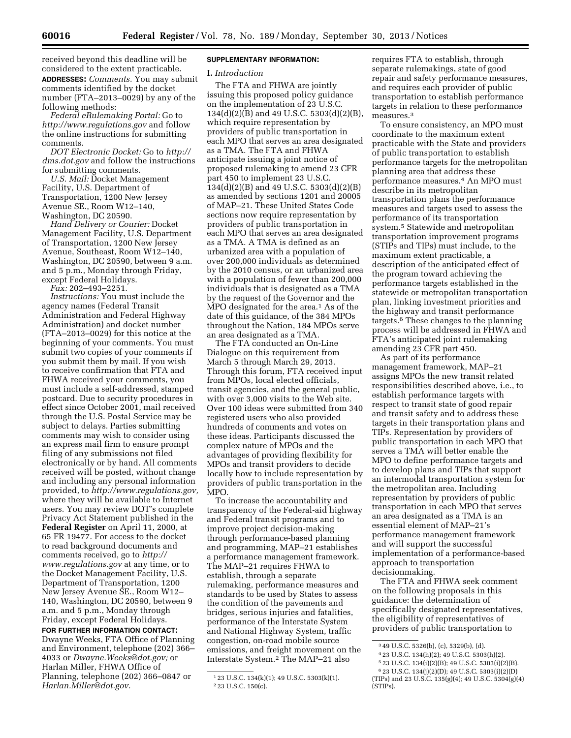received beyond this deadline will be considered to the extent practicable. **ADDRESSES:** *Comments.* You may submit comments identified by the docket number (FTA–2013–0029) by any of the following methods:

*Federal eRulemaking Portal:* Go to *<http://www.regulations.gov>* and follow the online instructions for submitting comments.

*DOT Electronic Docket:* Go to *[http://](http://dms.dot.gov) [dms.dot.gov](http://dms.dot.gov)* and follow the instructions for submitting comments.

*U.S. Mail:* Docket Management Facility, U.S. Department of Transportation, 1200 New Jersey Avenue SE., Room W12–140, Washington, DC 20590.

*Hand Delivery or Courier:* Docket Management Facility, U.S. Department of Transportation, 1200 New Jersey Avenue, Southeast, Room W12–140, Washington, DC 20590, between 9 a.m. and 5 p.m., Monday through Friday, except Federal Holidays.

*Fax:* 202–493–2251.

*Instructions:* You must include the agency names (Federal Transit Administration and Federal Highway Administration) and docket number (FTA–2013–0029) for this notice at the beginning of your comments. You must submit two copies of your comments if you submit them by mail. If you wish to receive confirmation that FTA and FHWA received your comments, you must include a self-addressed, stamped postcard. Due to security procedures in effect since October 2001, mail received through the U.S. Postal Service may be subject to delays. Parties submitting comments may wish to consider using an express mail firm to ensure prompt filing of any submissions not filed electronically or by hand. All comments received will be posted, without change and including any personal information provided, to *[http://www.regulations.gov,](http://www.regulations.gov)*  where they will be available to Internet users. You may review DOT's complete Privacy Act Statement published in the **Federal Register** on April 11, 2000, at 65 FR 19477. For access to the docket to read background documents and comments received, go to *[http://](http://www.regulations.gov) [www.regulations.gov](http://www.regulations.gov)* at any time, or to the Docket Management Facility, U.S. Department of Transportation, 1200 New Jersey Avenue SE., Room W12– 140, Washington, DC 20590, between 9 a.m. and 5 p.m., Monday through Friday, except Federal Holidays.

# **FOR FURTHER INFORMATION CONTACT:**

Dwayne Weeks, FTA Office of Planning and Environment, telephone (202) 366– 4033 or *[Dwayne.Weeks@dot.gov;](mailto:Dwayne.Weeks@dot.gov)* or Harlan Miller, FHWA Office of Planning, telephone (202) 366–0847 or *[Harlan.Miller@dot.gov.](mailto:Harlan.Miller@dot.gov)* 

## **SUPPLEMENTARY INFORMATION:**

#### **I.** *Introduction*

The FTA and FHWA are jointly issuing this proposed policy guidance on the implementation of 23 U.S.C. 134(d)(2)(B) and 49 U.S.C. 5303(d)(2)(B), which require representation by providers of public transportation in each MPO that serves an area designated as a TMA. The FTA and FHWA anticipate issuing a joint notice of proposed rulemaking to amend 23 CFR part 450 to implement 23 U.S.C. 134(d)(2)(B) and 49 U.S.C. 5303(d)(2)(B) as amended by sections 1201 and 20005 of MAP–21. These United States Code sections now require representation by providers of public transportation in each MPO that serves an area designated as a TMA. A TMA is defined as an urbanized area with a population of over 200,000 individuals as determined by the 2010 census, or an urbanized area with a population of fewer than 200,000 individuals that is designated as a TMA by the request of the Governor and the MPO designated for the area.<sup>1</sup> As of the date of this guidance, of the 384 MPOs throughout the Nation, 184 MPOs serve an area designated as a TMA.

The FTA conducted an On-Line Dialogue on this requirement from March 5 through March 29, 2013. Through this forum, FTA received input from MPOs, local elected officials, transit agencies, and the general public, with over 3,000 visits to the Web site. Over 100 ideas were submitted from 340 registered users who also provided hundreds of comments and votes on these ideas. Participants discussed the complex nature of MPOs and the advantages of providing flexibility for MPOs and transit providers to decide locally how to include representation by providers of public transportation in the MPO.

To increase the accountability and transparency of the Federal-aid highway and Federal transit programs and to improve project decision-making through performance-based planning and programming, MAP–21 establishes a performance management framework. The MAP–21 requires FHWA to establish, through a separate rulemaking, performance measures and standards to be used by States to assess the condition of the pavements and bridges, serious injuries and fatalities, performance of the Interstate System and National Highway System, traffic congestion, on-road mobile source emissions, and freight movement on the Interstate System.2 The MAP–21 also

requires FTA to establish, through separate rulemakings, state of good repair and safety performance measures, and requires each provider of public transportation to establish performance targets in relation to these performance measures<sup>3</sup>

To ensure consistency, an MPO must coordinate to the maximum extent practicable with the State and providers of public transportation to establish performance targets for the metropolitan planning area that address these performance measures.4 An MPO must describe in its metropolitan transportation plans the performance measures and targets used to assess the performance of its transportation system.5 Statewide and metropolitan transportation improvement programs (STIPs and TIPs) must include, to the maximum extent practicable, a description of the anticipated effect of the program toward achieving the performance targets established in the statewide or metropolitan transportation plan, linking investment priorities and the highway and transit performance targets.6 These changes to the planning process will be addressed in FHWA and FTA's anticipated joint rulemaking amending 23 CFR part 450.

As part of its performance management framework, MAP–21 assigns MPOs the new transit related responsibilities described above, i.e., to establish performance targets with respect to transit state of good repair and transit safety and to address these targets in their transportation plans and TIPs. Representation by providers of public transportation in each MPO that serves a TMA will better enable the MPO to define performance targets and to develop plans and TIPs that support an intermodal transportation system for the metropolitan area. Including representation by providers of public transportation in each MPO that serves an area designated as a TMA is an essential element of MAP–21's performance management framework and will support the successful implementation of a performance-based approach to transportation decisionmaking.

The FTA and FHWA seek comment on the following proposals in this guidance: the determination of specifically designated representatives, the eligibility of representatives of providers of public transportation to

5 23 U.S.C. 134(i)(2)(B); 49 U.S.C. 5303(i)(2)(B).

<sup>1</sup> 23 U.S.C. 134(k)(1); 49 U.S.C. 5303(k)(1). 2 23 U.S.C. 150(c).

<sup>3</sup> 49 U.S.C. 5326(b), (c), 5329(b), (d).

<sup>4</sup> 23 U.S.C. 134(h)(2); 49 U.S.C. 5303(h)(2).

<sup>6</sup> 23 U.S.C. 134(j)(2)(D); 49 U.S.C. 5303(i)(2)(D) (TIPs) and 23 U.S.C. 135(g)(4); 49 U.S.C. 5304(g)(4) (STIPs).